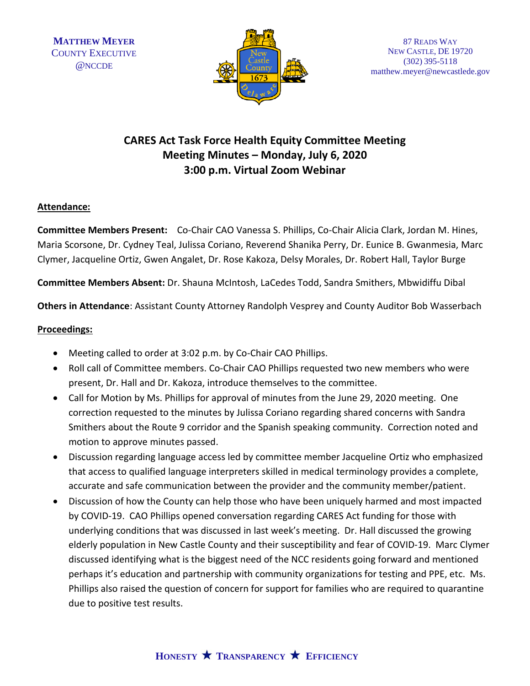

# **CARES Act Task Force Health Equity Committee Meeting Meeting Minutes – Monday, July 6, 2020 3:00 p.m. Virtual Zoom Webinar**

# **Attendance:**

**Committee Members Present:** Co-Chair CAO Vanessa S. Phillips, Co-Chair Alicia Clark, Jordan M. Hines, Maria Scorsone, Dr. Cydney Teal, Julissa Coriano, Reverend Shanika Perry, Dr. Eunice B. Gwanmesia, Marc Clymer, Jacqueline Ortiz, Gwen Angalet, Dr. Rose Kakoza, Delsy Morales, Dr. Robert Hall, Taylor Burge

**Committee Members Absent:** Dr. Shauna McIntosh, LaCedes Todd, Sandra Smithers, Mbwidiffu Dibal

**Others in Attendance**: Assistant County Attorney Randolph Vesprey and County Auditor Bob Wasserbach

## **Proceedings:**

- Meeting called to order at 3:02 p.m. by Co-Chair CAO Phillips.
- Roll call of Committee members. Co-Chair CAO Phillips requested two new members who were present, Dr. Hall and Dr. Kakoza, introduce themselves to the committee.
- Call for Motion by Ms. Phillips for approval of minutes from the June 29, 2020 meeting. One correction requested to the minutes by Julissa Coriano regarding shared concerns with Sandra Smithers about the Route 9 corridor and the Spanish speaking community. Correction noted and motion to approve minutes passed.
- Discussion regarding language access led by committee member Jacqueline Ortiz who emphasized that access to qualified language interpreters skilled in medical terminology provides a complete, accurate and safe communication between the provider and the community member/patient.
- Discussion of how the County can help those who have been uniquely harmed and most impacted by COVID-19. CAO Phillips opened conversation regarding CARES Act funding for those with underlying conditions that was discussed in last week's meeting. Dr. Hall discussed the growing elderly population in New Castle County and their susceptibility and fear of COVID-19. Marc Clymer discussed identifying what is the biggest need of the NCC residents going forward and mentioned perhaps it's education and partnership with community organizations for testing and PPE, etc. Ms. Phillips also raised the question of concern for support for families who are required to quarantine due to positive test results.